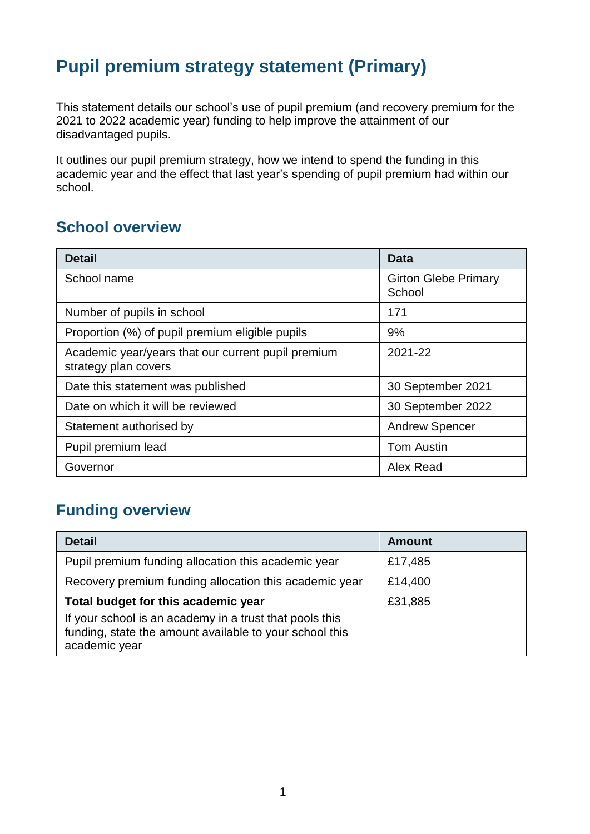# **Pupil premium strategy statement (Primary)**

This statement details our school's use of pupil premium (and recovery premium for the 2021 to 2022 academic year) funding to help improve the attainment of our disadvantaged pupils.

It outlines our pupil premium strategy, how we intend to spend the funding in this academic year and the effect that last year's spending of pupil premium had within our school.

#### **School overview**

| <b>Detail</b>                                                              | <b>Data</b>                           |
|----------------------------------------------------------------------------|---------------------------------------|
| School name                                                                | <b>Girton Glebe Primary</b><br>School |
| Number of pupils in school                                                 | 171                                   |
| Proportion (%) of pupil premium eligible pupils                            | 9%                                    |
| Academic year/years that our current pupil premium<br>strategy plan covers | 2021-22                               |
| Date this statement was published                                          | 30 September 2021                     |
| Date on which it will be reviewed                                          | 30 September 2022                     |
| Statement authorised by                                                    | <b>Andrew Spencer</b>                 |
| Pupil premium lead                                                         | <b>Tom Austin</b>                     |
| Governor                                                                   | Alex Read                             |

## **Funding overview**

| <b>Detail</b>                                                                                                                                                              | <b>Amount</b> |
|----------------------------------------------------------------------------------------------------------------------------------------------------------------------------|---------------|
| Pupil premium funding allocation this academic year                                                                                                                        | £17,485       |
| Recovery premium funding allocation this academic year                                                                                                                     | £14,400       |
| Total budget for this academic year<br>If your school is an academy in a trust that pools this<br>funding, state the amount available to your school this<br>academic year | £31,885       |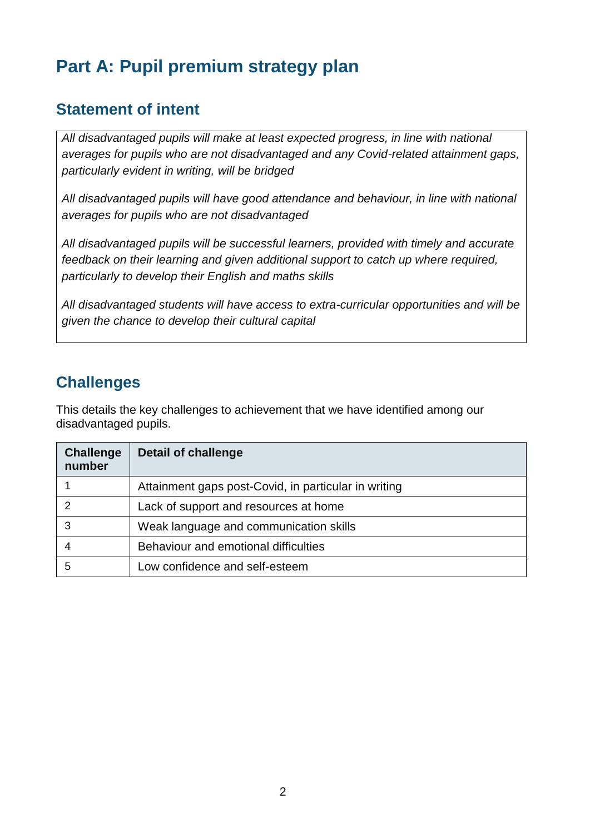# **Part A: Pupil premium strategy plan**

## **Statement of intent**

*All disadvantaged pupils will make at least expected progress, in line with national averages for pupils who are not disadvantaged and any Covid-related attainment gaps, particularly evident in writing, will be bridged*

*All disadvantaged pupils will have good attendance and behaviour, in line with national averages for pupils who are not disadvantaged*

*All disadvantaged pupils will be successful learners, provided with timely and accurate feedback on their learning and given additional support to catch up where required, particularly to develop their English and maths skills*

*All disadvantaged students will have access to extra-curricular opportunities and will be given the chance to develop their cultural capital*

## **Challenges**

This details the key challenges to achievement that we have identified among our disadvantaged pupils.

| <b>Challenge</b><br>number | <b>Detail of challenge</b>                           |
|----------------------------|------------------------------------------------------|
|                            | Attainment gaps post-Covid, in particular in writing |
| 2                          | Lack of support and resources at home                |
| 3                          | Weak language and communication skills               |
|                            | Behaviour and emotional difficulties                 |
| 5                          | Low confidence and self-esteem                       |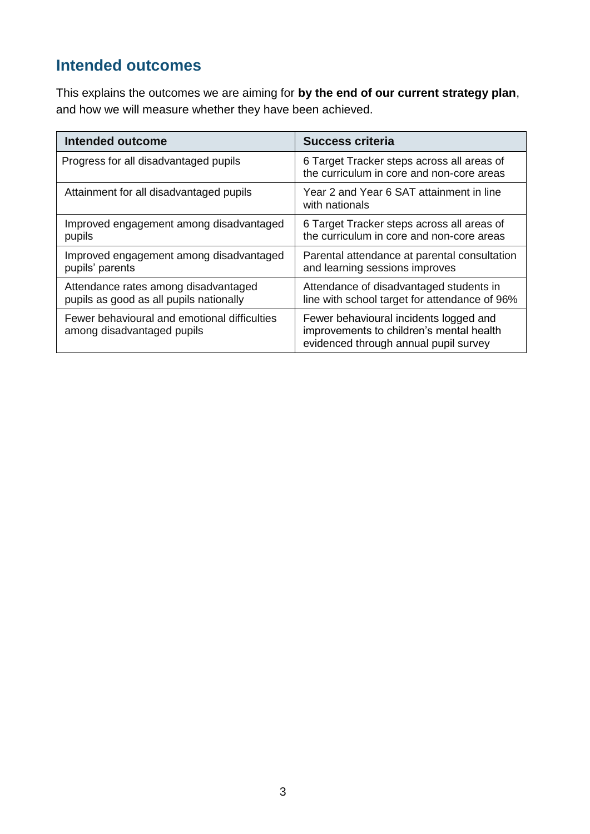## **Intended outcomes**

This explains the outcomes we are aiming for **by the end of our current strategy plan**, and how we will measure whether they have been achieved.

| <b>Intended outcome</b>                                                         | <b>Success criteria</b>                                                                                                     |
|---------------------------------------------------------------------------------|-----------------------------------------------------------------------------------------------------------------------------|
| Progress for all disadvantaged pupils                                           | 6 Target Tracker steps across all areas of<br>the curriculum in core and non-core areas                                     |
| Attainment for all disadvantaged pupils                                         | Year 2 and Year 6 SAT attainment in line<br>with nationals                                                                  |
| Improved engagement among disadvantaged<br>pupils                               | 6 Target Tracker steps across all areas of<br>the curriculum in core and non-core areas                                     |
| Improved engagement among disadvantaged<br>pupils' parents                      | Parental attendance at parental consultation<br>and learning sessions improves                                              |
| Attendance rates among disadvantaged<br>pupils as good as all pupils nationally | Attendance of disadvantaged students in<br>line with school target for attendance of 96%                                    |
| Fewer behavioural and emotional difficulties<br>among disadvantaged pupils      | Fewer behavioural incidents logged and<br>improvements to children's mental health<br>evidenced through annual pupil survey |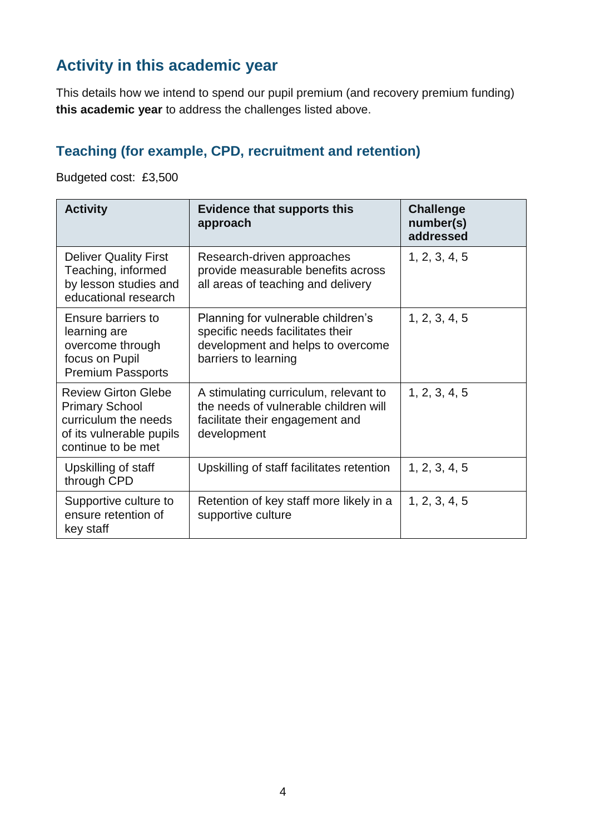## **Activity in this academic year**

This details how we intend to spend our pupil premium (and recovery premium funding) **this academic year** to address the challenges listed above.

## **Teaching (for example, CPD, recruitment and retention)**

Budgeted cost: £3,500

| <b>Activity</b>                                                                                                               | <b>Evidence that supports this</b><br>approach                                                                                      | <b>Challenge</b><br>number(s)<br>addressed |
|-------------------------------------------------------------------------------------------------------------------------------|-------------------------------------------------------------------------------------------------------------------------------------|--------------------------------------------|
| <b>Deliver Quality First</b><br>Teaching, informed<br>by lesson studies and<br>educational research                           | Research-driven approaches<br>provide measurable benefits across<br>all areas of teaching and delivery                              | 1, 2, 3, 4, 5                              |
| Ensure barriers to<br>learning are<br>overcome through<br>focus on Pupil<br><b>Premium Passports</b>                          | Planning for vulnerable children's<br>specific needs facilitates their<br>development and helps to overcome<br>barriers to learning | 1, 2, 3, 4, 5                              |
| <b>Review Girton Glebe</b><br><b>Primary School</b><br>curriculum the needs<br>of its vulnerable pupils<br>continue to be met | A stimulating curriculum, relevant to<br>the needs of vulnerable children will<br>facilitate their engagement and<br>development    | 1, 2, 3, 4, 5                              |
| Upskilling of staff<br>through CPD                                                                                            | Upskilling of staff facilitates retention                                                                                           | 1, 2, 3, 4, 5                              |
| Supportive culture to<br>ensure retention of<br>key staff                                                                     | Retention of key staff more likely in a<br>supportive culture                                                                       | 1, 2, 3, 4, 5                              |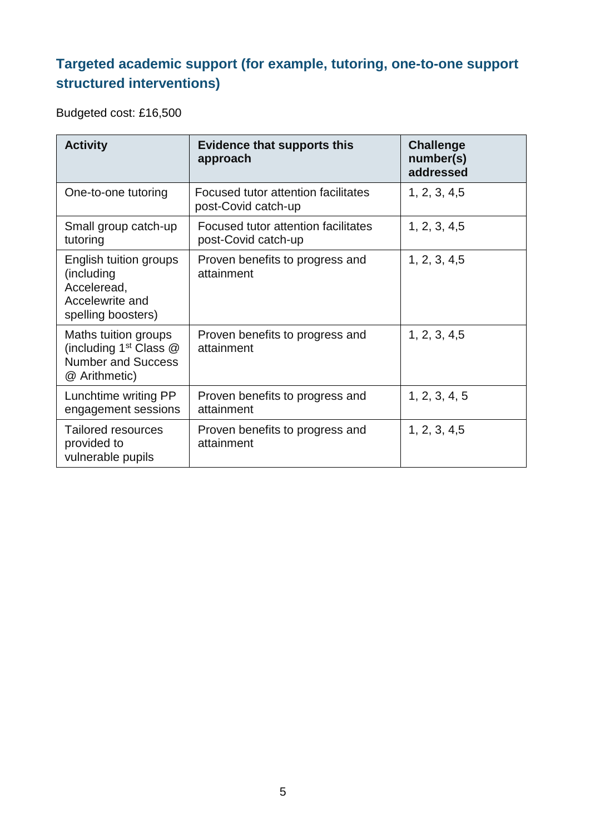## **Targeted academic support (for example, tutoring, one-to-one support structured interventions)**

Budgeted cost: £16,500

| <b>Activity</b>                                                                                          | <b>Evidence that supports this</b><br>approach             | <b>Challenge</b><br>number(s)<br>addressed |
|----------------------------------------------------------------------------------------------------------|------------------------------------------------------------|--------------------------------------------|
| One-to-one tutoring                                                                                      | Focused tutor attention facilitates<br>post-Covid catch-up | 1, 2, 3, 4, 5                              |
| Small group catch-up<br>tutoring                                                                         | Focused tutor attention facilitates<br>post-Covid catch-up | 1, 2, 3, 4, 5                              |
| English tuition groups<br>(including<br>Acceleread,<br>Accelewrite and<br>spelling boosters)             | Proven benefits to progress and<br>attainment              | 1, 2, 3, 4, 5                              |
| Maths tuition groups<br>(including 1 <sup>st</sup> Class @<br><b>Number and Success</b><br>@ Arithmetic) | Proven benefits to progress and<br>attainment              | 1, 2, 3, 4, 5                              |
| Lunchtime writing PP<br>engagement sessions                                                              | Proven benefits to progress and<br>attainment              | 1, 2, 3, 4, 5                              |
| <b>Tailored resources</b><br>provided to<br>vulnerable pupils                                            | Proven benefits to progress and<br>attainment              | 1, 2, 3, 4, 5                              |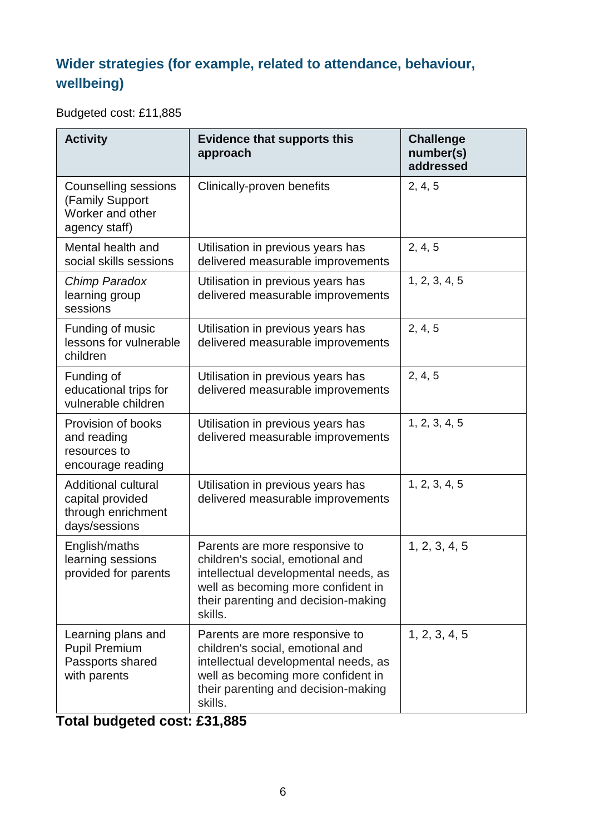## **Wider strategies (for example, related to attendance, behaviour, wellbeing)**

Budgeted cost: £11,885

| <b>Activity</b>                                                                       | <b>Evidence that supports this</b><br>approach                                                                                                                                                     | <b>Challenge</b><br>number(s)<br>addressed |
|---------------------------------------------------------------------------------------|----------------------------------------------------------------------------------------------------------------------------------------------------------------------------------------------------|--------------------------------------------|
| <b>Counselling sessions</b><br>(Family Support<br>Worker and other<br>agency staff)   | Clinically-proven benefits                                                                                                                                                                         | 2, 4, 5                                    |
| Mental health and<br>social skills sessions                                           | Utilisation in previous years has<br>delivered measurable improvements                                                                                                                             | 2, 4, 5                                    |
| Chimp Paradox<br>learning group<br>sessions                                           | Utilisation in previous years has<br>delivered measurable improvements                                                                                                                             | 1, 2, 3, 4, 5                              |
| Funding of music<br>lessons for vulnerable<br>children                                | Utilisation in previous years has<br>delivered measurable improvements                                                                                                                             | 2, 4, 5                                    |
| Funding of<br>educational trips for<br>vulnerable children                            | Utilisation in previous years has<br>delivered measurable improvements                                                                                                                             | 2, 4, 5                                    |
| Provision of books<br>and reading<br>resources to<br>encourage reading                | Utilisation in previous years has<br>delivered measurable improvements                                                                                                                             | 1, 2, 3, 4, 5                              |
| <b>Additional cultural</b><br>capital provided<br>through enrichment<br>days/sessions | Utilisation in previous years has<br>delivered measurable improvements                                                                                                                             | 1, 2, 3, 4, 5                              |
| English/maths<br>learning sessions<br>provided for parents                            | Parents are more responsive to<br>children's social, emotional and<br>intellectual developmental needs, as<br>well as becoming more confident in<br>their parenting and decision-making<br>skills. | 1, 2, 3, 4, 5                              |
| Learning plans and<br><b>Pupil Premium</b><br>Passports shared<br>with parents        | Parents are more responsive to<br>children's social, emotional and<br>intellectual developmental needs, as<br>well as becoming more confident in<br>their parenting and decision-making<br>skills. | 1, 2, 3, 4, 5                              |

## **Total budgeted cost: £31,885**